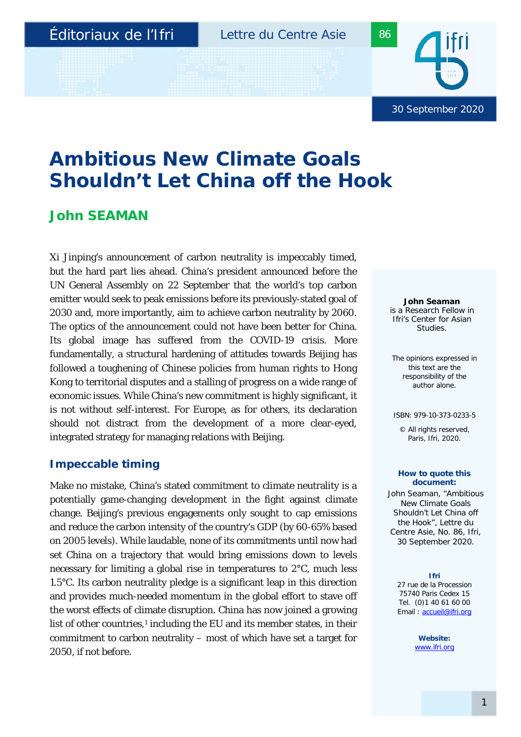

# **Ambitious New Climate Goals Shouldn't Let China off the Hook**

## **John SEAMAN**

Xi Jinping's announcement of carbon neutrality is impeccably timed, but the hard part lies ahead. China's president announced before the UN General Assembly on 22 September that the world's top carbon emitter would seek to peak emissions before its previously-stated goal of 2030 and, more importantly, aim to achieve carbon neutrality by 2060. The optics of the announcement could not have been better for China. Its global image has suffered from the COVID-19 crisis. More fundamentally, a structural hardening of attitudes towards Beijing has followed a toughening of Chinese policies from human rights to Hong Kong to territorial disputes and a stalling of progress on a wide range of economic issues. While China's new commitment is highly significant, it is not without self-interest. For Europe, as for others, its declaration should not distract from the development of a more clear-eyed, integrated strategy for managing relations with Beijing.

## **Impeccable timing**

Make no mistake, China's stated commitment to climate neutrality is a potentially game-changing development in the fight against climate change. Beijing's previous engagements only sought to cap emissions and reduce the carbon intensity of the country's GDP (by 60-65% based on 2005 levels). While laudable, none of its commitments until now had set China on a trajectory that would bring emissions down to levels necessary for limiting a global rise in temperatures to 2°C, much less 1.5°C. Its carbon neutrality pledge is a significant leap in this direction and provides much-needed momentum in the global effort to stave off the worst effects of climate disruption. China has now joined a growing list of other countries, $1$  including the EU and its member states, in their commitment to carbon neutrality – most of which have set a target for 2050, if not before.

*John Seaman is a Research Fellow in Ifri's Center for Asian Studies.*

The opinions expressed in this text are the responsibility of the author alone.

ISBN: 979-10-373-0233-5

© All rights reserved, Paris, Ifri, 2020.

#### **How to quote this document:**

John Seaman, "Ambitious New Climate Goals Shouldn't Let China off the Hook", *Lettre du Centre Asie*, No. 86, Ifri, 30 September 2020.

#### **Ifri**

27 rue de la Procession 75740 Paris Cedex 15 Tel. (0)1 40 61 60 00 Email [: accueil@ifri.org](mailto:accueil@ifri.org)

> **Website:** [www.ifri.org](http://www.ifri.org/)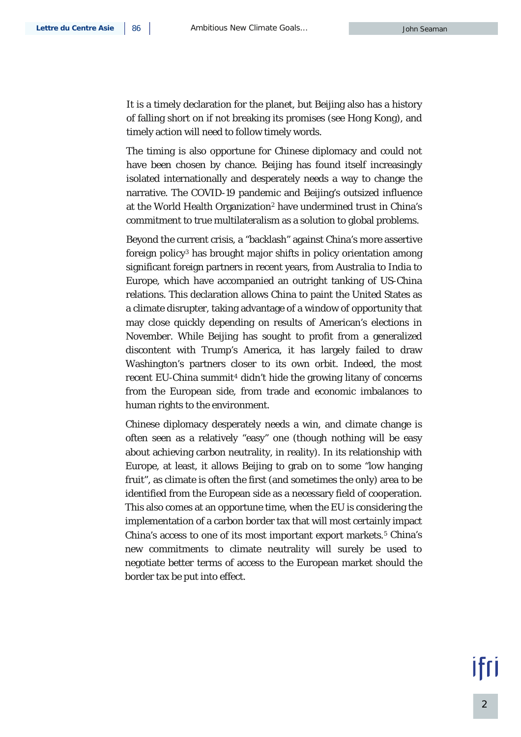It is a timely declaration for the planet, but Beijing also has a history of falling short on if not breaking its promises (see Hong Kong), and timely action will need to follow timely words.

The timing is also opportune for Chinese diplomacy and could not have been chosen by chance. Beijing has found itself increasingly isolated internationally and desperately needs a way to change the narrative. The COVID-19 pandemic and Beijing's outsized influence at the World Health Organization<sup>[2](#page-3-1)</sup> have undermined trust in China's commitment to true multilateralism as a solution to global problems.

Beyond the current crisis, a "backlash" against China's more assertive foreign policy[3](#page-3-2) has brought major shifts in policy orientation among significant foreign partners in recent years, from Australia to India to Europe, which have accompanied an outright tanking of US-China relations. This declaration allows China to paint the United States as a climate disrupter, taking advantage of a window of opportunity that may close quickly depending on results of American's elections in November. While Beijing has sought to profit from a generalized discontent with Trump's America, it has largely failed to draw Washington's partners closer to its own orbit. Indeed, the most recent EU-China summit<sup>[4](#page-3-3)</sup> didn't hide the growing litany of concerns from the European side, from trade and economic imbalances to human rights to the environment.

Chinese diplomacy desperately needs a win, and climate change is often seen as a relatively "easy" one (though nothing will be easy about achieving carbon neutrality, in reality). In its relationship with Europe, at least, it allows Beijing to grab on to some "low hanging fruit", as climate is often the first (and sometimes the only) area to be identified from the European side as a necessary field of cooperation. This also comes at an opportune time, when the EU is considering the implementation of a carbon border tax that will most certainly impact China's access to one of its most important export markets.[5](#page-3-4) China's new commitments to climate neutrality will surely be used to negotiate better terms of access to the European market should the border tax be put into effect.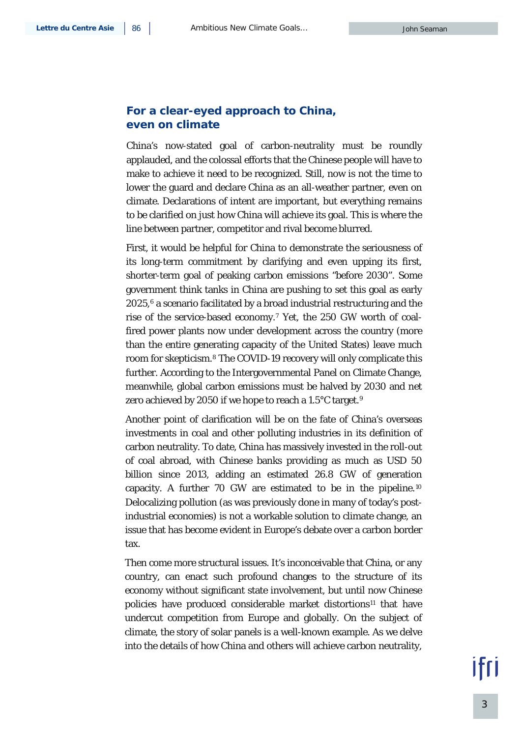## **For a clear-eyed approach to China, even on climate**

China's now-stated goal of carbon-neutrality must be roundly applauded, and the colossal efforts that the Chinese people will have to make to achieve it need to be recognized. Still, now is not the time to lower the guard and declare China as an all-weather partner, even on climate. Declarations of intent are important, but everything remains to be clarified on just how China will achieve its goal. This is where the line between partner, competitor and rival become blurred.

First, it would be helpful for China to demonstrate the seriousness of its long-term commitment by clarifying and even upping its first, shorter-term goal of peaking carbon emissions "before 2030". Some government think tanks in China are pushing to set this goal as early  $2025$ ,  $6$  a scenario facilitated by a broad industrial restructuring and the rise of the service-based economy.[7](#page-4-1) Yet, the 250 GW worth of coalfired power plants now under development across the country (more than the entire generating capacity of the United States) leave much room for skepticism.[8](#page-4-2) The COVID-19 recovery will only complicate this further. According to the Intergovernmental Panel on Climate Change, meanwhile, global carbon emissions must be halved by 2030 and net zero achieved by 2050 if we hope to reach a 1.5°C target.<sup>9</sup>

Another point of clarification will be on the fate of China's overseas investments in coal and other polluting industries in its definition of carbon neutrality. To date, China has massively invested in the roll-out of coal abroad, with Chinese banks providing as much as USD 50 billion since 2013, adding an estimated 26.8 GW of generation capacity. A further 70 GW are estimated to be in the pipeline.[10](#page-4-4) Delocalizing pollution (as was previously done in many of today's postindustrial economies) is not a workable solution to climate change, an issue that has become evident in Europe's debate over a carbon border tax.

Then come more structural issues. It's inconceivable that China, or any country, can enact such profound changes to the structure of its economy without significant state involvement, but until now Chinese policies have produced considerable market distortions<sup>11</sup> that have undercut competition from Europe and globally. On the subject of climate, the story of solar panels is a well-known example. As we delve into the details of how China and others will achieve carbon neutrality,

l†ſI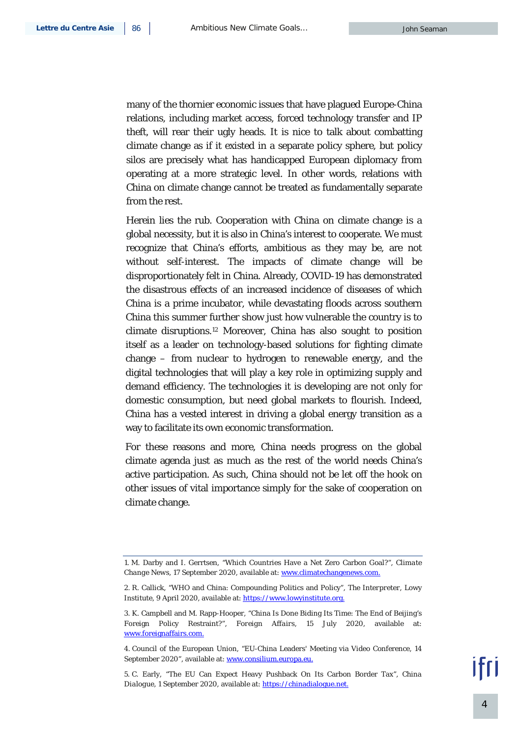many of the thornier economic issues that have plagued Europe-China relations, including market access, forced technology transfer and IP theft, will rear their ugly heads. It is nice to talk about combatting climate change as if it existed in a separate policy sphere, but policy silos are precisely what has handicapped European diplomacy from operating at a more strategic level. In other words, relations with China on climate change cannot be treated as fundamentally separate from the rest.

Herein lies the rub. Cooperation with China on climate change is a global necessity, but it is also in China's interest to cooperate. We must recognize that China's efforts, ambitious as they may be, are not without self-interest. The impacts of climate change will be disproportionately felt in China. Already, COVID-19 has demonstrated the disastrous effects of an increased incidence of diseases of which China is a prime incubator, while devastating floods across southern China this summer further show just how vulnerable the country is to climate disruptions.[12](#page-4-6) Moreover, China has also sought to position itself as a leader on technology-based solutions for fighting climate change – from nuclear to hydrogen to renewable energy, and the digital technologies that will play a key role in optimizing supply and demand efficiency. The technologies it is developing are not only for domestic consumption, but need global markets to flourish. Indeed, China has a vested interest in driving a global energy transition as a way to facilitate its own economic transformation.

For these reasons and more, China needs progress on the global climate agenda just as much as the rest of the world needs China's active participation. As such, China should not be let off the hook on other issues of vital importance simply for the sake of cooperation on climate change.

<span id="page-3-0"></span><sup>1.</sup> M. Darby and I. Gerrtsen, "Which Countries Have a Net Zero Carbon Goal?", *Climate Change News*, 17 September 2020, available at: [www.climatechangenews.com.](https://www.climatechangenews.com/2020/09/17/countries-net-zero-climate-goal/)

<span id="page-3-1"></span><sup>2.</sup> R. Callick, "WHO and China: Compounding Politics and Policy", *The Interpreter*, Lowy Institute, 9 April 2020, available at[: https://www.lowyinstitute.org.](https://www.lowyinstitute.org/the-interpreter/who-and-china-compounding-politics-policy)

<span id="page-3-2"></span><sup>3.</sup> K. Campbell and M. Rapp-Hooper, "China Is Done Biding Its Time: The End of Beijing's Foreign Policy Restraint?", *Foreign Affairs*, 15 July 2020, available at: [www.foreignaffairs.com.](https://www.foreignaffairs.com/articles/china/2020-07-15/china-done-biding-its-time)

<span id="page-3-3"></span><sup>4.</sup> Council of the European Union, "EU-China Leaders' Meeting via Video Conference, 14 September 2020", available at[: www.consilium.europa.eu.](https://www.consilium.europa.eu/en/meetings/international-summit/2020/09/14/)

<span id="page-3-4"></span><sup>5.</sup> C. Early, "The EU Can Expect Heavy Pushback On Its Carbon Border Tax", *China Dialogue*, 1 September 2020, available at[: https://chinadialogue.net.](https://chinadialogue.net/en/business/eu-can-expect-heavy-pushback-carbon-border-tax/)